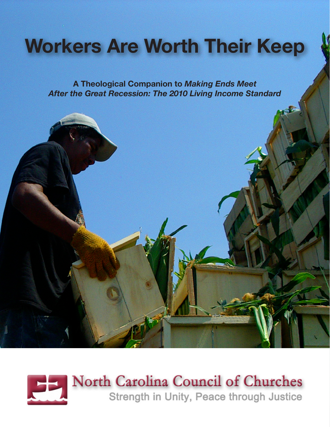# **Workers Are Worth Their Keep**

**A Theological Companion to** *Making Ends Meet After the Great Recession: The 2010 Living Income Standard*

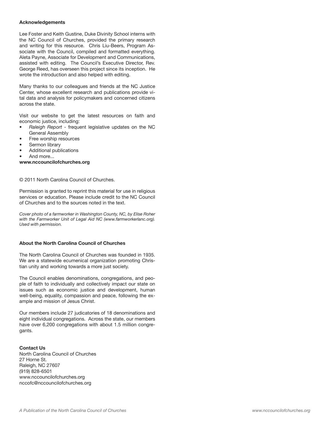## **Acknowledgements**

Lee Foster and Keith Gustine, Duke Divinity School interns with the NC Council of Churches, provided the primary research and writing for this resource. Chris Liu-Beers, Program Associate with the Council, compiled and formatted everything. Aleta Payne, Associate for Development and Communications, assisted with editing. The Council's Executive Director, Rev. George Reed, has overseen this project since its inception. He wrote the introduction and also helped with editing.

Many thanks to our colleagues and friends at the NC Justice Center, whose excellent research and publications provide vital data and analysis for policymakers and concerned citizens across the state.

Visit our website to get the latest resources on faith and economic justice, including:

- *• Raleigh Report* frequent legislative updates on the NC General Assembly
- Free worship resources
- Sermon library
- Additional publications
- And more...

**www.nccouncilofchurches.org**

© 2011 North Carolina Council of Churches.

Permission is granted to reprint this material for use in religious services or education. Please include credit to the NC Council of Churches and to the sources noted in the text.

*Cover photo of a farmworker in Washington County, NC, by Elise Roher*  with the Farmworker Unit of Legal Aid NC (www.farmworkerlanc.org). *Used with permission.*

# **About the North Carolina Council of Churches**

The North Carolina Council of Churches was founded in 1935. We are a statewide ecumenical organization promoting Christian unity and working towards a more just society.

The Council enables denominations, congregations, and people of faith to individually and collectively impact our state on issues such as economic justice and development, human well-being, equality, compassion and peace, following the example and mission of Jesus Christ.

Our members include 27 judicatories of 18 denominations and eight individual congregations. Across the state, our members have over 6,200 congregations with about 1.5 million congregants.

# **Contact Us**

North Carolina Council of Churches 27 Horne St. Raleigh, NC 27607 (919) 828-6501 www.nccouncilofchurches.org nccofc@nccouncilofchurches.org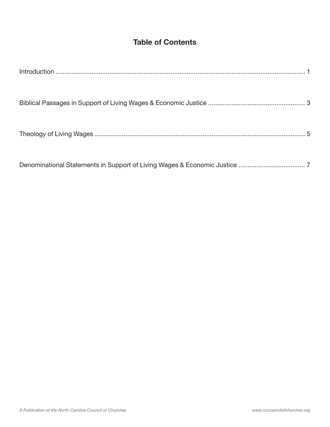# **Table of Contents**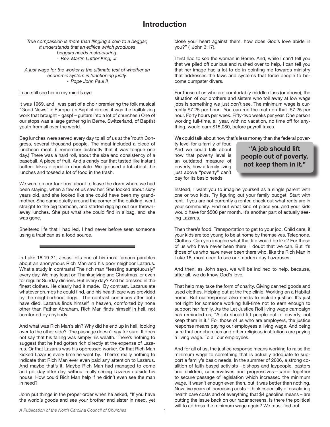# **Introduction**

*True compassion is more than flinging a coin to a beggar; it understands that an edifice which produces beggars needs restructuring. ~ Rev. Martin Luther King, Jr.* 

*A just wage for the worker is the ultimate test of whether an economic system is functioning justly. ~ Pope John Paul II* 

I can still see her in my mind's eye.

It was 1969, and I was part of a choir premiering the folk musical "Good News" in Europe. (In Baptist circles, it was the trailblazing work that brought – gasp! – guitars into a lot of churches.) One of our stops was a large gathering in Berne, Switzerland, of Baptist youth from all over the world.

Bag lunches were served every day to all of us at the Youth Congress, several thousand people. The meal included a piece of luncheon meat. (I remember distinctly that it was tongue one day.) There was a hard roll, about the size and consistency of a baseball. A piece of fruit. And a candy bar that tasted like instant coffee flakes dipped in chocolate. We groused a lot about the lunches and tossed a lot of food in the trash.

We were on our tour bus, about to leave the dorm where we had been staying, when a few of us saw her. She looked about sixty years old, and she looked like she could have been my grandmother. She came quietly around the corner of the building, went straight to the big trashcan, and started digging out our thrownaway lunches. She put what she could find in a bag, and she was gone.

Sheltered life that I had led, I had never before seen someone using a trashcan as a food source.

In Luke 16:19-31, Jesus tells one of his most famous parables about an anonymous Rich Man and his poor neighbor Lazarus. What a study in contrasts! The rich man "feasting sumptuously" every day. We may feast on Thanksgiving and Christmas, or even for regular Sunday dinners. But every day? And he dressed in the finest clothes. He clearly had it made. By contrast, Lazarus ate whatever crumbs he could find, and his health care was provided by the neighborhood dogs. The contrast continues after both have died. Lazarus finds himself in heaven, comforted by none other than Father Abraham. Rich Man finds himself in hell, not comforted by anybody.

And what was Rich Man's sin? Why did he end up in hell, looking over to the other side? The passage doesn't say for sure. It does not say that his failing was simply his wealth. There's nothing to suggest that he had gotten rich directly at the expense of Lazarus. Or that Lazarus was his oppressed worker. Or that Rich Man kicked Lazarus every time he went by. There's really nothing to indicate that Rich Man ever even paid any attention to Lazarus. And maybe that's it. Maybe Rich Man had managed to come and go, day after day, without really seeing Lazarus outside his house. How could Rich Man help if he didn't even see the man in need?

John put things in the proper order when he asked, "If you have the world's goods and see your brother and sister in need, yet

close your heart against them, how does God's love abide in you?" (I John 3:17).

I first had to *see* the woman in Berne. And, while I can't tell you that we piled off our bus and rushed over to help, I can tell you that her image had a lot to do in pointing me towards ministry that addresses the laws and systems that force people to become dumpster divers.

For those of us who are comfortably middle class (or above), the situation of our brothers and sisters who toil away at low wage jobs is something we just don't see. The minimum wage is currently \$7.25 per hour. You can run the math on that. \$7.25 per hour. Forty hours per week. Fifty-two weeks per year. One person working full-time, all year, with no vacation, no time off for anything, would earn \$15,080, before payroll taxes.

We could talk about how that's less money than the federal pover-

ty level for a family of four. And we could talk about how that poverty level is an outdated measure of poverty, how a family living just above "poverty" can't pay for its basic needs.

**"A job should lift people out of poverty, not keep them in it."**

Instead, I want you to imagine yourself as a single parent with one or two kids. Try figuring out your family budget. Start with rent. If you are not currently a renter, check out what rents are in your community. Find out what kind of place you and your kids would have for \$500 per month. It's another part of actually seeing Lazarus.

Then there's food. Transportation to get to your job. Child care, if your kids are too young to be at home by themselves. Telephone. Clothes. Can you imagine what that life would be like? For those of us who have never been there, I doubt that we can. But it's those of us who have never been there who, like the Rich Man in Luke 16, most need to see our modern-day Lazaruses.

And then, as John says, we will be inclined to help, because, after all, we do know God's love.

That help may take the form of charity. Giving canned goods and used clothes. Helping out at the free clinic. Working on a Habitat home. But our response also needs to include justice. It's just not right for someone working full-time not to earn enough to support her family. As the Let Justice Roll living wage campaign has reminded us, "A job should lift people out of poverty, not keep them in it." For those of us who are employers, the justice response means paying our employees a living wage. And being sure that our churches and other religious institutions are paying a living wage. To all our employees.

And for all of us, the justice response means working to raise the minimum wage to something that is actually adequate to support a family's basic needs. In the summer of 2006, a strong coalition of faith-based activists—bishops and laypeople, pastors and children, conservatives and progressives—came together to secure passage of legislation which increased the minimum wage. It wasn't enough even then, but it was better than nothing. Now five years of increasing costs – think especially of escalating health care costs and of everything that \$4 gasoline means – are putting the issue back on our radar screens. Is there the political will to address the minimum wage again? We must find out.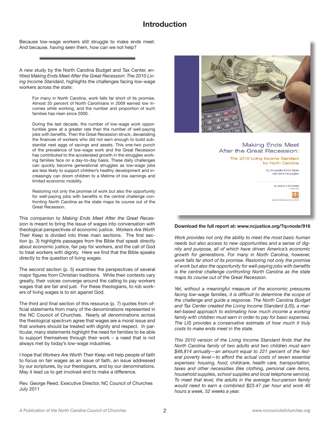# **Introduction**

Because low-wage workers still struggle to make ends meet. And because, having seen them, how can we not help?

A new study by the North Carolina Budget and Tax Center, entitled *Making Ends Meet After the Great Recession: The 2010 Living Income Standard*, highlights the challenges facing low-wage workers across the state:

For many in North Carolina, work falls far short of its promise. Almost 35 percent of North Carolinians in 2009 earned low incomes while working, and the number and proportion of such families has risen since 2000.

During the last decade, the number of low-wage work opportunities grew at a greater rate than the number of well-paying jobs with benefits. Then the Great Recession struck, devastating the finances of workers who did not earn enough to build substantial nest eggs of savings and assets. This one-two punch of the prevalence of low-wage work and the Great Recession has contributed to the accelerated growth in the struggles working families face on a day-to-day basis. These daily challenges can quickly become generational struggles as low-wage jobs are less likely to support children's healthy development and increasingly can doom children to a lifetime of low earnings and limited economic mobility.

Restoring not only the promise of work but also the opportunity for well-paying jobs with benefits is the central challenge confronting North Carolina as the state maps its course out of the Great Recession.

This companion to *Making Ends Meet After the Great Recession* is meant to bring the issue of wages into conversation with theological perspectives of economic justice. *Workers Are Worth Their Keep* is divided into three main sections. The first section (p. 3) highlights passages from the Bible that speak directly about economic justice, fair pay for workers, and the call of God to treat workers with dignity. Here we find that the Bible speaks directly to the question of living wages.

The second section (p. 5) examines the perspectives of several major figures from Christian traditions. While their contexts vary greatly, their voices converge around the calling to pay workers wages that are fair and just. For these theologians, to rob workers of living wages is to sin against God.

The third and final section of this resource (p. 7) quotes from official statements from many of the denominations represented in the NC Council of Churches. Nearly all denominations across the theological spectrum agree that wages are a moral issue and that workers should be treated with dignity and respect. In particular, many statements highlight the need for families to be able to support themselves through their work – a need that is not always met by today's low-wage industries.

I hope that *Workers Are Worth Their Keep* will help people of faith to focus on fair wages as an issue of faith, an issue addressed by our scriptures, by our theologians, and by our denominations. May it lead us to get involved and to make a difference.

Rev. George Reed, Executive Director, NC Council of Churches July 2011



#### **Download the full report at: www.ncjustice.org/?q=node/916**

*Work provides not only the ability to meet the most basic human needs but also access to new opportunities and a sense of dignity and purpose, all of which have driven America's economic growth for generations. For many in North Carolina, however, work falls far short of its promise. Restoring not only the promise of work but also the opportunity for well-paying jobs with benefits is the central challenge confronting North Carolina as the state maps its course out of the Great Recession.*

*Yet, without a meaningful measure of the economic pressures facing low-wage families, it is difficult to determine the scope of the challenge and guide a response. The North Carolina Budget and Tax Center created the Living Income Standard (LIS), a market-based approach to estimating how much income a working family with children must earn in order to pay for basic expenses. The LIS provides a conservative estimate of how much it truly costs to make ends meet in the state.*

*This 2010 version of the Living Income Standard finds that the North Carolina family of two adults and two children must earn \$48,814 annually—an amount equal to 221 percent of the federal poverty level—to afford the actual costs of seven essential expenses: housing, food, childcare, health care, transportation, taxes and other necessities (like clothing, personal care items, household supplies, school supplies and local telephone service). To meet that level, the adults in the average four-person family would need to earn a combined \$23.47 per hour and work 40 hours a week, 52 weeks a year.*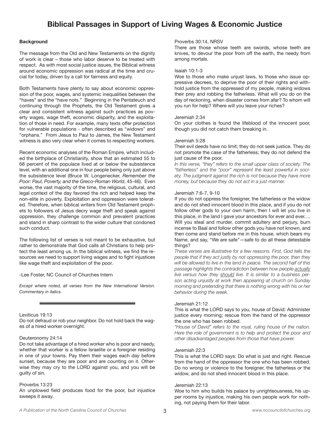# **Biblical Passages in Support of Living Wages & Economic Justice**

# **Background**

The message from the Old and New Testaments on the dignity of work is clear – those who labor deserve to be treated with respect. As with most social justice issues, the Biblical witness around economic oppression was radical at the time and crucial for today, driven by a call for fairness and equity.

Both Testaments have plenty to say about economic oppression of the poor, wages, and systemic inequalities between the "haves" and the "have nots." Beginning in the Pentateuch and continuing through the Prophets, the Old Testament gives a clear and consistent witness against such practices as poverty wages, wage theft, economic disparity, and the exploitation of those in need. For example, many texts offer protection for vulnerable populations - often described as "widows" and "orphans." From Jesus to Paul to James, the New Testament witness is also very clear when it comes to respecting workers.

Recent economic analyses of the Roman Empire, which included the birthplace of Christianity, show that an estimated 55 to 68 percent of the populace lived at or below the subsistence level, with an additional one in four people being only just above the subsistence level (Bruce W. Longenecker, *Remember the Poor: Paul, Poverty, and the Greco-Roman World*, 45-46). Even worse, the vast majority of the time, the religious, cultural, and legal context of the day favored the rich and helped keep the non-elite in poverty. Exploitation and oppression were tolerated. Therefore, when biblical writers from Old Testament prophets to followers of Jesus decry wage theft and speak against oppression, they challenge common and prevalent practices and stand in sharp contrast to the wider culture that condoned such conduct.

The following list of verses is not meant to be exhaustive, but rather to demonstrate that God calls all Christians to help protect the least among us. In the biblical witness, we find the resources we need to support living wages and to fight injustices like wage theft and exploitation of the poor.

-Lee Foster, NC Council of Churches Intern

*Except where noted, all verses from the New International Version. Commentary in italics.*

# Leviticus 19:13

Do not defraud or rob your neighbor. Do not hold back the wages of a hired worker overnight.

#### Deuteronomy 24:14

Do not take advantage of a hired worker who is poor and needy, whether that worker is a fellow Israelite or a foreigner residing in one of your towns. Pay them their wages each day before sunset, because they are poor and are counting on it. Otherwise they may cry to the LORD against you, and you will be guilty of sin.

#### Proverbs 13:23

An unplowed field produces food for the poor, but injustice sweeps it away.

# Proverbs 30:14, NRSV

There are those whose teeth are swords, whose teeth are knives, to devour the poor from off the earth, the needy from among mortals.

#### Isaiah 10:1-3

Woe to those who make unjust laws, to those who issue oppressive decrees, to deprive the poor of their rights and withhold justice from the oppressed of my people, making widows their prey and robbing the fatherless. What will you do on the day of reckoning, when disaster comes from afar? To whom will you run for help? Where will you leave your riches?

#### Jeremiah 2:34

On your clothes is found the lifeblood of the innocent poor, though you did not catch them breaking in.

#### Jeremiah 5:28

Their evil deeds have no limit; they do not seek justice. They do not promote the case of the fatherless; they do not defend the just cause of the poor.

*In this verse, "they" refers to the small upper class of society. The "fatherless" and the "poor" represent the least powerful in society. The judgment against the rich is not because they have more money, but because they do not act in a just manner.*

#### Jeremiah 7:6-7, 9-10

If you do not oppress the foreigner, the fatherless or the widow and do not shed innocent blood in this place, and if you do not follow other gods to your own harm, then I will let you live in this place, in the land I gave your ancestors for ever and ever.… Will you steal and murder, commit adultery and perjury, burn incense to Baal and follow other gods you have not known, and then come and stand before me in this house, which bears my Name, and say, "We are safe"—safe to do all these detestable things?

*These verses are illustrative for a few reasons. First, God tells the people that if they act justly by not oppressing the poor, then they will be allowed to live in the land in peace. The second half of this passage highlights the contradiction between how people actually live versus how they should live. It is similar to a business person acting unjustly at work then appearing at church on Sunday morning and pretending that there is nothing wrong with his or her behavior during the week.*

#### Jeremiah 21:12

This is what the LORD says to you, house of David: Administer justice every morning; rescue from the hand of the oppressor the one who has been robbed.

*"House of David" refers to the royal, ruling house of the nation. Here the role of government is to help and protect the poor and other disadvantaged peoples from those that have power.*

#### Jeremiah 22:3

This is what the LORD says: Do what is just and right. Rescue from the hand of the oppressor the one who has been robbed. Do no wrong or violence to the foreigner, the fatherless or the widow, and do not shed innocent blood in this place.

#### Jeremiah 22:13

Woe to him who builds his palace by unrighteousness, his upper rooms by injustice, making his own people work for nothing, not paying them for their labor.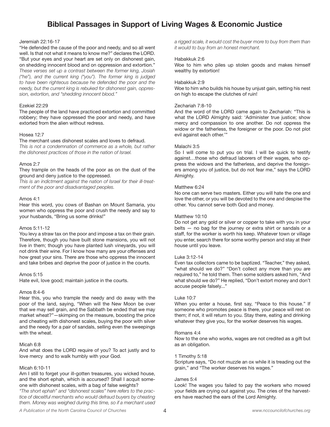# **Biblical Passages in Support of Living Wages & Economic Justice**

# Jeremiah 22:16-17

"He defended the cause of the poor and needy, and so all went well. Is that not what it means to know me?" declares the LORD. "But your eyes and your heart are set only on dishonest gain, on shedding innocent blood and on oppression and extortion." *These verses set up a contrast between the former king, Josiah ("he"), and the current king ("you"). The former king is judged to have been righteous because he defended the poor and the needy, but the current king is rebuked for dishonest gain, oppression, extortion, and "shedding innocent blood."*

## Ezekiel 22:29

The people of the land have practiced extortion and committed robbery; they have oppressed the poor and needy, and have extorted from the alien without redress.

### Hosea 12:7

The merchant uses dishonest scales and loves to defraud. *This is not a condemnation of commerce as a whole, but rather the dishonest practices of those in the nation of Israel.*

# Amos 2:7

# They trample on the heads of the poor as on the dust of the ground and deny justice to the oppressed.

*This is an indictment against the nation of Israel for their ill-treatment of the poor and disadvantaged peoples.* 

#### Amos 4:1

Hear this word, you cows of Bashan on Mount Samaria, you women who oppress the poor and crush the needy and say to your husbands, "Bring us some drinks!"

#### Amos 5:11-12

You levy a straw tax on the poor and impose a tax on their grain. Therefore, though you have built stone mansions, you will not live in them; though you have planted lush vineyards, you will not drink their wine. For I know how many are your offenses and how great your sins. There are those who oppress the innocent and take bribes and deprive the poor of justice in the courts.

#### Amos 5:15

Hate evil, love good; maintain justice in the courts.

#### Amos 8:4-6

Hear this, you who trample the needy and do away with the poor of the land, saying, "When will the New Moon be over that we may sell grain, and the Sabbath be ended that we may market wheat?"—skimping on the measure, boosting the price and cheating with dishonest scales, buying the poor with silver and the needy for a pair of sandals, selling even the sweepings with the wheat.

#### Micah 6:8

And what does the LORD require of you? To act justly and to love mercy and to walk humbly with your God.

# Micah 6:10-11

Am I still to forget your ill-gotten treasures, you wicked house, and the short ephah, which is accursed? Shall I acquit someone with dishonest scales, with a bag of false weights? *"The short ephah" and "dishonest scales" here refers to the practice of deceitful merchants who would defraud buyers by cheating them. Money was weighed during this time, so if a merchant used* 

*a rigged scale, it would cost the buyer more to buy from them than it would to buy from an honest merchant.*

#### Habakkuk 2:6

Woe to him who piles up stolen goods and makes himself wealthy by extortion!

#### Habakkuk 2:9

Woe to him who builds his house by unjust gain, setting his nest on high to escape the clutches of ruin!

#### Zechariah 7:8-10

And the word of the LORD came again to Zechariah: "This is what the LORD Almighty said: 'Administer true justice; show mercy and compassion to one another. Do not oppress the widow or the fatherless, the foreigner or the poor. Do not plot evil against each other.'"

### Malachi 3:5

So I will come to put you on trial. I will be quick to testify against…those who defraud laborers of their wages, who oppress the widows and the fatherless, and deprive the foreigners among you of justice, but do not fear me," says the LORD Almighty.

## Matthew 6:24

No one can serve two masters. Either you will hate the one and love the other, or you will be devoted to the one and despise the other. You cannot serve both God and money.

#### Matthew 10:10

Do not get any gold or silver or copper to take with you in your belts — no bag for the journey or extra shirt or sandals or a staff, for the worker is worth his keep. Whatever town or village you enter, search there for some worthy person and stay at their house until you leave.

#### Luke 3:12-14

Even tax collectors came to be baptized. "Teacher," they asked, "what should we do?" "Don't collect any more than you are required to," he told them. Then some soldiers asked him, "And what should we do?" He replied, "Don't extort money and don't accuse people falsely..."

#### Luke 10:7

When you enter a house, first say, "Peace to this house." If someone who promotes peace is there, your peace will rest on them; if not, it will return to you. Stay there, eating and drinking whatever they give you, for the worker deserves his wages.

#### Romans 4:4

Now to the one who works, wages are not credited as a gift but as an obligation.

#### 1 Timothy 5:18

Scripture says, "Do not muzzle an ox while it is treading out the grain," and "The worker deserves his wages."

#### James 5:4

Look! The wages you failed to pay the workers who mowed your fields are crying out against you. The cries of the harvesters have reached the ears of the Lord Almighty.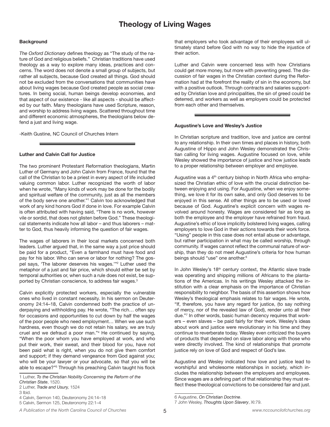# **Theology of Living Wages**

#### **Background**

*The Oxford Dictionary* defines theology as "The study of the nature of God and religious beliefs." Christian traditions have used theology as a way to explore many ideas, practices and concerns. The word does not denote a small group of subjects, but rather all subjects, because God created all things. God should not be excluded from the conversations that communities have about living wages because God created people as social creatures. In being social, human beings develop economies, and that aspect of our existence - like all aspects - should be affected by our faith. Many theologians have used Scripture, reason, and worship to address living wages. Scattered throughout time and different economic atmospheres, the theologians below defend a just and living wage.

-Keith Gustine, NC Council of Churches Intern

# **Luther and Calvin Call for Justice**

The two prominent Protestant Reformation theologians, Martin Luther of Germany and John Calvin from France, found that the call of the Christian to be a priest in every aspect of life included valuing common labor. Luther recognized the worth of labor when he wrote, "Many kinds of work may be done for the bodily and spiritual welfare of the community, just as all the members of the body serve one another."<sup>1</sup> Calvin too acknowledged that work of any kind honors God if done in love. For example Calvin is often attributed with having said, "There is no work, however vile or sordid, that does not glisten before God." These theological statements indicate how all labor – and thus laborers – matter to God, thus heavily informing the question of fair wages.

The wages of laborers in their local markets concerned both leaders. Luther argued that, in the same way a just price should be paid for a product, "Even a farmhand must have food and pay for his labor. Who can serve or labor for nothing? The gospel says, 'The laborer deserves his wages.'"2 Luther used the metaphor of a just and fair price, which should either be set by temporal authorities or, when such a rule does not exist, be supported by Christian conscience, to address fair wages.<sup>3</sup>

Calvin explicitly protected workers, especially the vulnerable ones who lived in constant necessity. In his sermon on Deuteronomy 24:14–18, Calvin condemned both the practice of underpaying and withholding pay. He wrote, "The rich… often spy for occasions and opportunities to cut down by half the wages of the poor people who need employment… When we use such hardness, even though we do not retain his salary, we are truly cruel and we defraud a poor man."4 He continued by saying, "When the poor whom you have employed at work, and who put their work, their sweat, and their blood for you, have not been paid what is right, when you do not give them comfort and support; if they demand vengeance from God against you; who will be your lawyer or your advocate, so that you will be able to escape?"5 Through his preaching Calvin taught his flock

1 Luther, *To the Christian Nobility Concerning the Reform of the Christian State*, 1520.

that employers who took advantage of their employees will ultimately stand before God with no way to hide the injustice of their action.

Luther and Calvin were concerned less with how Christians could get more money, but more with preventing greed. The discussion of fair wages in the Christian context during the Reformation had at the forefront the reality of sin in the economy, but with a positive outlook. Through contracts and salaries supported by Christian love and principalities, the sin of greed could be deterred, and workers as well as employers could be protected from each other and themselves.

#### **Augustine's Love and Wesley's Justice**

In Christian scripture and tradition, love and justice are central to any relationship. In their own times and places in history, both Augustine of Hippo and John Wesley demonstrated the Christian calling for living wages. Augustine focused on love, while Wesley showed the importance of justice and how justice leads to a proper relationship between employer and employee.

Augustine was a 4<sup>th</sup> century bishop in North Africa who emphasized the Christian ethic of love with the crucial distinction between enjoying and using. For Augustine, when we enjoy something, we love it for its own sake, and only God deserves to be enjoyed in this sense. All other things are to be used or loved because of God. Augustine's explicit concern with wages revolved around honesty. Wages are considered fair as long as both the employee and the employer have refrained from fraud. Augustine's ethic of love implicitly bolstered living wages, calling employers to love God in their actions towards their work force. "Using" people in this case does not entail abuse or advantage, but rather participation in what may be called worship, through community. If wages cannot reflect the communal nature of worship, than they do not meet Augustine's criteria for how human beings should "use" one another.<sup>6</sup>

In John Wesley's 18<sup>th</sup> century context, the Atlantic slave trade was operating and shipping millions of Africans to the plantations of the Americas. In his writings Wesley attacked the institution with a clear emphasis on the importance of Christian responsibility to neighbor. The basis of this assertion shows how Wesley's theological emphasis relates to fair wages. He wrote, "If, therefore, you have any regard for justice, (to say nothing of mercy, nor of the revealed law of God), render unto all their due."7 In other words, basic human decency requires that workers – even slaves – be paid fairly for their work. Wesley's ideas about work and justice were revolutionary in his time and they continue to reverberate today. Wesley even criticized the buyers of products that depended on slave labor along with those who were directly involved. The kind of relationships that promote justice rely on love of God and respect of God's law.

Augustine and Wesley indicated how love and justice lead to worshipful and wholesome relationships in society, which includes the relationship between the employers and employees. Since wages are a defining part of that relationship they must reflect these theological convictions to be considered fair and just.

<sup>2</sup> Luther, *Trade and Usury,* 1524

<sup>3</sup> Ibid.

<sup>4</sup> Calvin, Sermon 140, Deuteronomy 24:14–18

<sup>5</sup> Calvin, Sermon 125, Deuteronomy 22:1–4

<sup>6</sup> Augustine, *On Christian Doctrine*.

<sup>7</sup> John Wesley, *Thoughts Upon Slavery*, XI:79.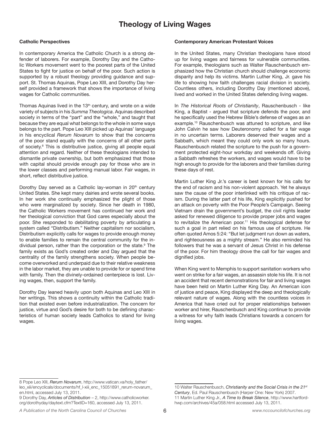# **Theology of Living Wages**

# **Catholic Perspectives**

In contemporary America the Catholic Church is a strong defender of laborers. For example, Dorothy Day and the Catholic Workers movement went to the poorest parts of the United States to fight for justice on behalf of the poor. Such action is supported by a robust theology providing guidance and support. St. Thomas Aquinas, Pope Leo XIII, and Dorothy Day herself provided a framework that shows the importance of living wages for Catholic communities.

Thomas Aquinas lived in the  $13<sup>th</sup>$  century, and wrote on a wide variety of subjects in his *Summa Theologica*. Aquinas described society in terms of the "part" and the "whole," and taught that because they are equal what belongs to the whole in some ways belongs to the part. Pope Leo XIII picked up Aquinas' language in his encyclical *Rerum Novarum* to show that the concerns of the poor stand equally with the concerns of all other parts of society.<sup>8</sup> This is distributive justice, giving all people equal attention and regard. Neither of these theologians intended to dismantle private ownership, but both emphasized that those with capital should provide enough pay for those who are in the lower classes and performing manual labor. Fair wages, in short, reflect distributive justice.

Dorothy Day served as a Catholic lay-woman in 20<sup>th</sup> century United States. She kept many dairies and wrote several books. In her work she continually emphasized the plight of those who were marginalized by society. Since her death in 1980, the Catholic Workers movement has continued her work and her theological conviction that God cares especially about the poor. She responded to debilitating poverty by articulating a system called "Distributism." Neither capitalism nor socialism, Distributism explicitly calls for wages to provide enough money to enable families to remain the central community for the individual person, rather than the corporation or the state.<sup>9</sup> The family exists as God's created order and Day argued that the centrality of the family strengthens society. When people become overworked and underpaid due to their relative weakness in the labor market, they are unable to provide for or spend time with family. Then the divinely-ordained centerpiece is lost. Living wages, then, support the family.

Dorothy Day leaned heavily upon both Aquinas and Leo XIII in her writings. This shows a continuity within the Catholic tradition that existed even before industrialization. The concern for justice, virtue and God's desire for both to be defining characteristics of human society leads Catholics to stand for living wages.

# **Contemporary American Protestant Voices**

In the United States, many Christian theologians have stood up for living wages and fairness for vulnerable communities. For example, theologians such as Walter Rauschenbusch emphasized how the Christian church should challenge economic disparity and help its victims. Martin Luther King, Jr. gave his life to showing how faith challenges racial division in society. Countless others, including Dorothy Day (mentioned above), lived and worked in the United States defending living wages.

In *The Historical Roots of Christianity*, Rauschenbusch - like King, a Baptist - argued that scripture defends the poor, and he specifically used the Hebrew Bible's defense of wages as an example.<sup>10</sup> Rauschenbusch was attuned to scripture, and like John Calvin he saw how Deuteronomy called for a fair wage in no uncertain terms. Laborers deserved their wages and a Sabbath, which meant they could only work so many hours. Rauschenbusch related the scripture to the push for a government protected eight-hour workday and weekends off. Giving a Sabbath refreshes the workers, and wages would have to be high enough to provide for the laborers and their families during these days of rest.

Martin Luther King Jr.'s career is best known for his calls for the end of racism and his non-violent approach. Yet he always saw the cause of the poor interlinked with his critique of racism. During the latter part of his life, King explicitly pushed for an attack on poverty with the Poor People's Campaign. Seeing Vietnam drain the government's budget, the civil rights leader asked for renewed diligence to provide proper jobs and wages to revitalize the American poor.<sup>11</sup> His theological defense for such a goal in part relied on his famous use of scripture. He often quoted Amos 5:24: "But let judgment run down as waters, and righteousness as a mighty stream." He also reminded his followers that he was a servant of Jesus Christ in his defense of the poor. For him theology drove the call for fair wages and dignified jobs.

When King went to Memphis to support sanitation workers who went on strike for a fair wages, an assassin stole his life. It is not an accident that recent demonstrations for fair and living wages have been held on Martin Luther King Day. An American icon of justice and peace, King displayed the deep and theologically relevant nature of wages. Along with the countless voices in America that have cried out for proper relationships between worker and hirer, Rauschenbusch and King continue to provide a witness for why faith leads Christians towards a concern for living wages.

<sup>8</sup> Pope Leo XIII, *Rerum Novarum*, http://www.vatican.va/holy\_father/ leo\_xiii/encyclicals/documents/hf\_l-xiii\_enc\_15051891\_rerum-novarum\_ en.html, accessed July 13, 2011.

<sup>9</sup> Dorothy Day, *Articles of Distribution* – 2, http://www.catholicworker. org/dorothyday/daytext.cfm?TextID=160, accessed July 13, 2011.

<sup>10</sup> Walter Rauschenbusch, *Christianity and the Social Crisis in the 21st Century*, Ed. Paul Rauschenbusch (Harper One: New York) 2007. 11 Martin Luther King Jr., *A Time to Break Silence*, http://www.hartfordhwp.com/archives/45a/058.html accessed July 13, 2011.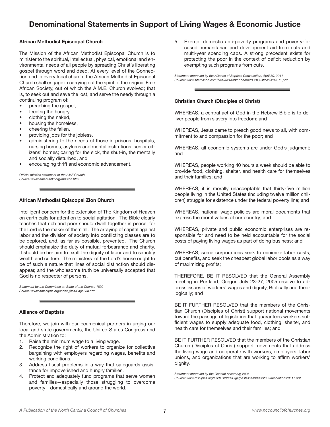# **African Methodist Episcopal Church**

The Mission of the African Methodist Episcopal Church is to minister to the spiritual, intellectual, physical, emotional and environmental needs of all people by spreading Christ's liberating gospel through word and deed. At every level of the Connection and in every local church, the African Methodist Episcopal Church shall engage in carrying out the spirit of the original Free African Society, out of which the A.M.E. Church evolved; that is, to seek out and save the lost, and serve the needy through a continuing program of:

- preaching the gospel,
- feeding the hungry,
- clothing the naked,
- housing the homeless,
- cheering the fallen,
- providing jobs for the jobless,
- administering to the needs of those in prisons, hospitals, nursing homes, asylums and mental institutions, senior citizens' homes; caring for the sick, the shut-in, the mentally and socially disturbed, and
- encouraging thrift and economic advancement.

*Official mission statement of the AME Church Source: www.amec3000.org/mission.htm*

# **African Methodist Episcopal Zion Church**

Intelligent concern for the extension of The Kingdom of Heaven on earth calls for attention to social agitation. The Bible clearly teaches that rich and poor should dwell together in peace, for the Lord is the maker of them all. The arraying of capital against labor and the division of society into conflicting classes are to be deplored, and, as far as possible, prevented. The Church should emphasize the duty of mutual forbearance and charity. It should be her aim to exalt the dignity of labor and to sanctify wealth and culture. The ministers of the Lord's house ought to be of such a nature that lines of social distinction should disappear, and the wholesome truth be universally accepted that God is no respecter of persons.

*Statement by the Committee on State of the Church, 1892 Source: www.amezqrhs.org/index\_files/Page688.htm*

#### **Alliance of Baptists**

Therefore, we join with our ecumenical partners in urging our local and state governments, the United States Congress and the Administration to:

- 1. Raise the minimum wage to a living wage.
- 2. Recognize the right of workers to organize for collective bargaining with employers regarding wages, benefits and working conditions.
- 3. Address fiscal problems in a way that safeguards assistance for impoverished and hungry families.
- 4. Protect and adequately fund programs that serve women and families—especially those struggling to overcome poverty—domestically and around the world.

5. Exempt domestic anti-poverty programs and poverty-focused humanitarian and development aid from cuts and multi-year spending caps. A strong precedent exists for protecting the poor in the context of deficit reduction by exempting such programs from cuts.

*Statement approved by the Alliance of Baptists Convocation, April 30, 2011 Source: www.sitemason.com/files/k4BAo8/Economic%20Justice%202011.pdf*

## **Christian Church (Disciples of Christ)**

WHEREAS, a central act of God in the Hebrew Bible is to deliver people from slavery into freedom; and

WHEREAS, Jesus came to preach good news to all, with commitment to and compassion for the poor; and

WHEREAS, all economic systems are under God's judgment; and

WHEREAS, people working 40 hours a week should be able to provide food, clothing, shelter, and health care for themselves and their families; and

WHEREAS, it is morally unacceptable that thirty-five million people living in the United States (including twelve million children) struggle for existence under the federal poverty line; and

WHEREAS, national wage policies are moral documents that express the moral values of our country; and

WHEREAS, private and public economic enterprises are responsible for and need to be held accountable for the social costs of paying living wages as part of doing business; and

WHEREAS, some corporations seek to minimize labor costs, cut benefits, and seek the cheapest global labor pools as a way of maximizing profits;

THEREFORE, BE IT RESOLVED that the General Assembly meeting in Portland, Oregon July 23-27, 2005 resolve to address issues of workers' wages and dignity, Biblically and theologically; and

BE IT FURTHER RESOLVED that the members of the Christian Church (Disciples of Christ) support national movements toward the passage of legislation that guarantees workers sufficient wages to supply adequate food, clothing, shelter, and health care for themselves and their families; and

BE IT FURTHER RESOLVED that the members of the Christian Church (Disciples of Christ) support movements that address the living wage and cooperate with workers, employers, labor unions, and organizations that are working to affirm workers' dignity.

*Statement approved by the General Assembly, 2005*

*Source: www.disciples.org/Portals/0/PDF/ga/pastassemblies/2005/resolutions/0517.pdf*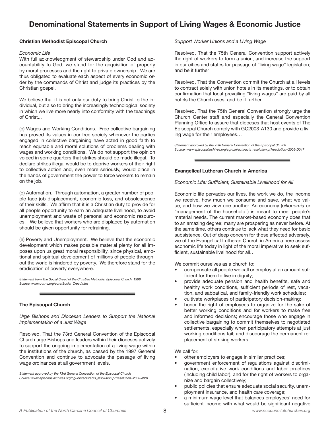# **Christian Methodist Episcopal Church**

# *Economic Life*

With full acknowledgment of stewardship under God and accountability to God, we stand for the acquisition of property by moral processes and the right to private ownership. We are thus obligated to evaluate each aspect of every economic order by the commands of Christ and judge its practices by the Christian gospel.

We believe that it is not only our duty to bring Christ to the individual, but also to bring the increasingly technological society in which we live more nearly into conformity with the teachings of Christ...

(c) Wages and Working Conditions. Free collective bargaining has proved its values in our free society whenever the parties engaged in collective bargaining have acted in good faith to reach equitable and moral solutions of problems dealing with wages and working conditions. We do not support the opinion voiced in some quarters that strikes should be made illegal. To declare strikes illegal would be to deprive workers of their right to collective action and, even more seriously, would place in the hands of government the power to force workers to remain on the job.

(d) Automation. Through automation, a greater number of people face job displacement, economic loss, and obsolescence of their skills. We affirm that it is a Christian duty to provide for all people opportunity to earn an adequate livelihood, to avoid unemployment and waste of personal and economic resources. We believe that workers who are displaced by automation should be given opportunity for retraining.

(e) Poverty and Unemployment. We believe that the economic development which makes possible material plenty for all imposes upon us great moral responsibility, since physical, emotional and spiritual development of millions of people throughout the world is hindered by poverty. We therefore stand for the eradication of poverty everywhere.

*Statement from The Social Creed of the Christian Methodist Episcopal Church, 1998 Source: www.c-m-e.org/core/Social\_Creed.htm*

# **The Episcopal Church**

*Urge Bishops and Diocesan Leaders to Support the National Implementation of a Just Wage*

Resolved, That the 73rd General Convention of the Episcopal Church urge Bishops and leaders within their dioceses actively to support the ongoing implementation of a living wage within the institutions of the church, as passed by the 1997 General Convention and continue to advocate the passage of living wage ordinances at all government levels.

*Statement approved by the 73rd General Convention of the Episcopal Church Source: www.episcopalarchives.org/cgi-bin/acts/acts\_resolution.pl?resolution=2000-a081*

### *Support Worker Unions and a Living Wage*

Resolved, That the 75th General Convention support actively the right of workers to form a union, and increase the support in our cities and states for passage of "living wage" legislation; and be it further

Resolved, That the Convention commit the Church at all levels to contract solely with union hotels in its meetings, or to obtain confirmation that local prevailing "living wages" are paid by all hotels the Church uses; and be it further

Resolved, That the 75th General Convention strongly urge the Church Center staff and especially the General Convention Planning Office to assure that dioceses that host events of The Episcopal Church comply with GC2003-A130 and provide a living wage for their employees…

*Statement approved by the 75th General Convention of the Episcopal Church Source: www.episcopalarchives.org/cgi-bin/acts/acts\_resolution.pl?resolution=2006-D047*

# **Evangelical Lutheran Church in America**

*Economic Life: Sufficient, Sustainable Livelihood for All*

Economic life pervades our lives, the work we do, the income we receive, how much we consume and save, what we value, and how we view one another. An economy (*oikonomia* or "management of the household") is meant to meet people's material needs. The current market-based economy does that to an amazing degree; many are prospering as never before. At the same time, others continue to lack what they need for basic subsistence. Out of deep concern for those affected adversely, we of the Evangelical Lutheran Church in America here assess economic life today in light of the moral imperative to seek sufficient, sustainable livelihood for all...

We commit ourselves as a church to:

- compensate all people we call or employ at an amount sufficient for them to live in dignity;
- provide adequate pension and health benefits, safe and healthy work conditions, sufficient periods of rest, vacation, and sabbatical, and family-friendly work schedules;
- cultivate workplaces of participatory decision-making;
- honor the right of employees to organize for the sake of better working conditions and for workers to make free and informed decisions; encourage those who engage in collective bargaining to commit themselves to negotiated settlements, especially when participatory attempts at just working conditions fail; and discourage the permanent replacement of striking workers.

We call for:

- other employers to engage in similar practices;
- government enforcement of regulations against discrimination, exploitative work conditions and labor practices (including child labor), and for the right of workers to organize and bargain collectively;
- public policies that ensure adequate social security, unemployment insurance, and health care coverage;
- a minimum wage level that balances employees' need for sufficient income with what would be significant negative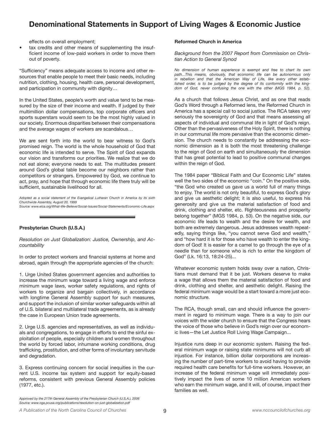effects on overall employment;

• tax credits and other means of supplementing the insufficient income of low-paid workers in order to move them out of poverty.

"Sufficiency" means adequate access to income and other resources that enable people to meet their basic needs, including nutrition, clothing, housing, health care, personal development, and participation in community with dignity…

In the United States, people's worth and value tend to be measured by the size of their income and wealth. If judged by their multimillion dollar compensations, top corporate officers and sports superstars would seem to be the most highly valued in our society. Enormous disparities between their compensations and the average wages of workers are scandalous…

We are sent forth into the world to bear witness to God's promised reign. The world is the whole household of God that economic life is intended to serve. The Spirit of God expands our vision and transforms our priorities. We realize that we do not eat alone; everyone needs to eat. The multitudes present around God's global table become our neighbors rather than competitors or strangers. Empowered by God, we continue to act, pray, and hope that through economic life there truly will be sufficient, sustainable livelihood for all.

*Adopted as a social statement of the Evangelical Lutheran Church in America by its sixth Churchwide Assembly, August 20, 1999*

*Source: www.elca.org/What-We-Believe/Social-Issues/Social-Statements/Economic-Life.aspx*

# **Presbyterian Church (U.S.A.)**

*Resolution on Just Globalization: Justice, Ownership, and Accountability*

In order to protect workers and financial systems at home and abroad, again through the appropriate agencies of the church:

1. Urge United States government agencies and authorities to increase the minimum wage toward a living wage and enforce minimum wage laws, worker safety regulations, and rights of workers to organize and bargain collectively, in accordance with longtime General Assembly support for such measures, and support the inclusion of similar worker safeguards within all of U.S. bilateral and multilateral trade agreements, as is already the case in European Union trade agreements.

2. Urge U.S. agencies and representatives, as well as individuals and congregations, to engage in efforts to end the sinful exploitation of people, especially children and women throughout the world by forced labor, inhumane working conditions, drug trafficking, prostitution, and other forms of involuntary servitude and degradation.

3. Express continuing concern for social inequities in the current U.S. income tax system and support for equity-based reforms, consistent with previous General Assembly policies (1977, etc.).

## **Reformed Church in America**

*Background from the 2007 Report from Commission on Christian Action to General Synod*

*No dimension of human experience is exempt and free to chart its own path...This means, obviously, that economic life can be autonomous only in rebellion and that the American Way of Life, like every other established order, is to be judged by the degree of its conformity with the kingdom of God, never confusing the one with the other (MGS 1984, p. 52).*

As a church that follows Jesus Christ, and as one that reads God's Word through a Reformed lens, the Reformed Church in America has a special call to social justice. The RCA takes very seriously the sovereignty of God and that means assessing all aspects of individual and communal life in light of God's reign. Other than the pervasiveness of the Holy Spirit, there is nothing in our communal life more pervasive than the economic dimension. The church needs to constantly be addressing the economic dimension as it is both the most threatening challenge to the reign of God on earth and simultaneously the dimension that has great potential to lead to positive communal changes within the reign of God.

The 1984 paper "Biblical Faith and Our Economic Life" states well the two sides of the economic "coin." On the positive side, "the God who created us gave us a world full of many things to enjoy. The world is not only beautiful, to express God's glory and give us aesthetic delight; it is also useful, to express his generosity and give us the material satisfaction of food and drink, clothing and shelter, etc. Righteousness and prosperity belong together" (MGS 1984, p. 53). On the negative side, our economic life leads to wealth and the desire for wealth, and both are extremely dangerous. Jesus addresses wealth repeatedly, saying things like, "you cannot serve God and wealth," and "how hard it is for those who have wealth to enter the kingdom of God! It is easier for a camel to go through the eye of a needle than for someone who is rich to enter the kingdom of God" (Lk. 16:13, 18:24-25)...

Whatever economic system holds sway over a nation, Christians must demand that it be just. Workers deserve to make a wage that allows them the material satisfaction of food and drink, clothing and shelter, and aesthetic delight. Raising the federal minimum wage would be a start toward a more just economic structure.

The RCA, though small, can and should influence the government in regard to minimum wage. There is a way to join our voices with the wider church to ensure that the Congress hears the voice of those who believe in God's reign over our economic lives—the Let Justice Roll Living Wage Campaign...

Injustice runs deep in our economic system. Raising the federal minimum wage or raising state minimums will not curb all injustice. For instance, billion dollar corporations are increasing the number of part-time workers to avoid having to provide required health care benefits for full-time workers. However, an increase of the federal minimum wage will immediately positively impact the lives of some 10 million American workers who earn the minimum wage, and it will, of course, impact their families as well.

*Approved by the 217th General Assembly of the Presbyterian Church (U.S.A.), 2006 Source: www.oga.pcusa.org/publications/resolution-on-just-globalization.pdf*